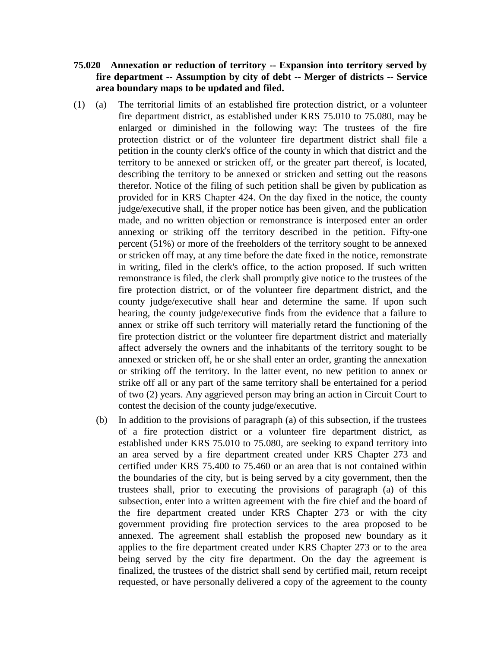- **75.020 Annexation or reduction of territory -- Expansion into territory served by fire department -- Assumption by city of debt -- Merger of districts -- Service area boundary maps to be updated and filed.**
- (1) (a) The territorial limits of an established fire protection district, or a volunteer fire department district, as established under KRS 75.010 to 75.080, may be enlarged or diminished in the following way: The trustees of the fire protection district or of the volunteer fire department district shall file a petition in the county clerk's office of the county in which that district and the territory to be annexed or stricken off, or the greater part thereof, is located, describing the territory to be annexed or stricken and setting out the reasons therefor. Notice of the filing of such petition shall be given by publication as provided for in KRS Chapter 424. On the day fixed in the notice, the county judge/executive shall, if the proper notice has been given, and the publication made, and no written objection or remonstrance is interposed enter an order annexing or striking off the territory described in the petition. Fifty-one percent (51%) or more of the freeholders of the territory sought to be annexed or stricken off may, at any time before the date fixed in the notice, remonstrate in writing, filed in the clerk's office, to the action proposed. If such written remonstrance is filed, the clerk shall promptly give notice to the trustees of the fire protection district, or of the volunteer fire department district, and the county judge/executive shall hear and determine the same. If upon such hearing, the county judge/executive finds from the evidence that a failure to annex or strike off such territory will materially retard the functioning of the fire protection district or the volunteer fire department district and materially affect adversely the owners and the inhabitants of the territory sought to be annexed or stricken off, he or she shall enter an order, granting the annexation or striking off the territory. In the latter event, no new petition to annex or strike off all or any part of the same territory shall be entertained for a period of two (2) years. Any aggrieved person may bring an action in Circuit Court to contest the decision of the county judge/executive.
	- (b) In addition to the provisions of paragraph (a) of this subsection, if the trustees of a fire protection district or a volunteer fire department district, as established under KRS 75.010 to 75.080, are seeking to expand territory into an area served by a fire department created under KRS Chapter 273 and certified under KRS 75.400 to 75.460 or an area that is not contained within the boundaries of the city, but is being served by a city government, then the trustees shall, prior to executing the provisions of paragraph (a) of this subsection, enter into a written agreement with the fire chief and the board of the fire department created under KRS Chapter 273 or with the city government providing fire protection services to the area proposed to be annexed. The agreement shall establish the proposed new boundary as it applies to the fire department created under KRS Chapter 273 or to the area being served by the city fire department. On the day the agreement is finalized, the trustees of the district shall send by certified mail, return receipt requested, or have personally delivered a copy of the agreement to the county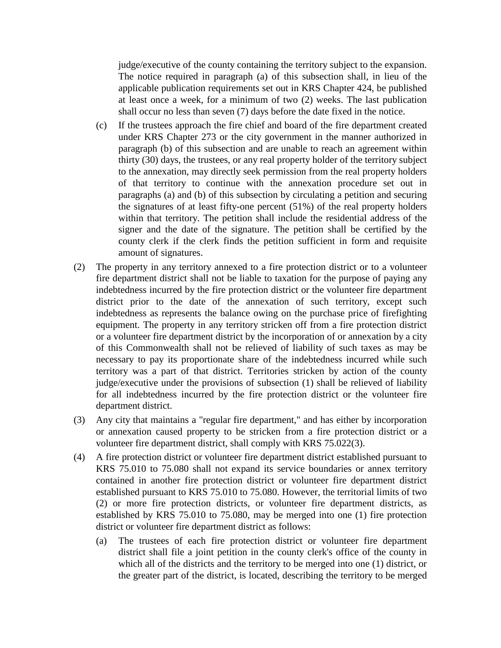judge/executive of the county containing the territory subject to the expansion. The notice required in paragraph (a) of this subsection shall, in lieu of the applicable publication requirements set out in KRS Chapter 424, be published at least once a week, for a minimum of two (2) weeks. The last publication shall occur no less than seven (7) days before the date fixed in the notice.

- (c) If the trustees approach the fire chief and board of the fire department created under KRS Chapter 273 or the city government in the manner authorized in paragraph (b) of this subsection and are unable to reach an agreement within thirty (30) days, the trustees, or any real property holder of the territory subject to the annexation, may directly seek permission from the real property holders of that territory to continue with the annexation procedure set out in paragraphs (a) and (b) of this subsection by circulating a petition and securing the signatures of at least fifty-one percent (51%) of the real property holders within that territory. The petition shall include the residential address of the signer and the date of the signature. The petition shall be certified by the county clerk if the clerk finds the petition sufficient in form and requisite amount of signatures.
- (2) The property in any territory annexed to a fire protection district or to a volunteer fire department district shall not be liable to taxation for the purpose of paying any indebtedness incurred by the fire protection district or the volunteer fire department district prior to the date of the annexation of such territory, except such indebtedness as represents the balance owing on the purchase price of firefighting equipment. The property in any territory stricken off from a fire protection district or a volunteer fire department district by the incorporation of or annexation by a city of this Commonwealth shall not be relieved of liability of such taxes as may be necessary to pay its proportionate share of the indebtedness incurred while such territory was a part of that district. Territories stricken by action of the county judge/executive under the provisions of subsection (1) shall be relieved of liability for all indebtedness incurred by the fire protection district or the volunteer fire department district.
- (3) Any city that maintains a "regular fire department," and has either by incorporation or annexation caused property to be stricken from a fire protection district or a volunteer fire department district, shall comply with KRS 75.022(3).
- (4) A fire protection district or volunteer fire department district established pursuant to KRS 75.010 to 75.080 shall not expand its service boundaries or annex territory contained in another fire protection district or volunteer fire department district established pursuant to KRS 75.010 to 75.080. However, the territorial limits of two (2) or more fire protection districts, or volunteer fire department districts, as established by KRS 75.010 to 75.080, may be merged into one (1) fire protection district or volunteer fire department district as follows:
	- (a) The trustees of each fire protection district or volunteer fire department district shall file a joint petition in the county clerk's office of the county in which all of the districts and the territory to be merged into one (1) district, or the greater part of the district, is located, describing the territory to be merged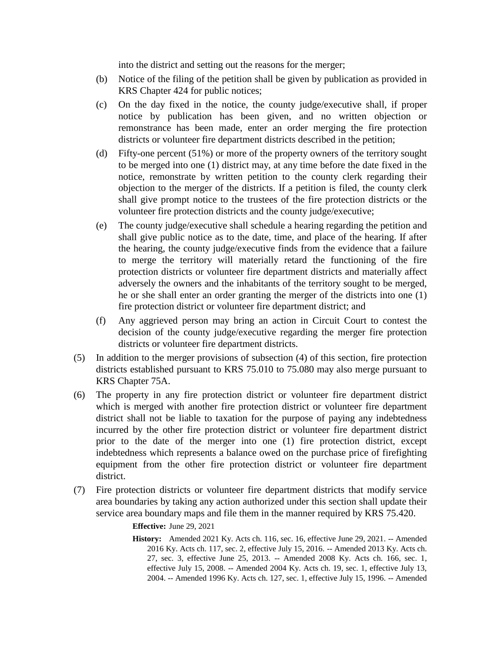into the district and setting out the reasons for the merger;

- (b) Notice of the filing of the petition shall be given by publication as provided in KRS Chapter 424 for public notices;
- (c) On the day fixed in the notice, the county judge/executive shall, if proper notice by publication has been given, and no written objection or remonstrance has been made, enter an order merging the fire protection districts or volunteer fire department districts described in the petition;
- (d) Fifty-one percent (51%) or more of the property owners of the territory sought to be merged into one (1) district may, at any time before the date fixed in the notice, remonstrate by written petition to the county clerk regarding their objection to the merger of the districts. If a petition is filed, the county clerk shall give prompt notice to the trustees of the fire protection districts or the volunteer fire protection districts and the county judge/executive;
- (e) The county judge/executive shall schedule a hearing regarding the petition and shall give public notice as to the date, time, and place of the hearing. If after the hearing, the county judge/executive finds from the evidence that a failure to merge the territory will materially retard the functioning of the fire protection districts or volunteer fire department districts and materially affect adversely the owners and the inhabitants of the territory sought to be merged, he or she shall enter an order granting the merger of the districts into one (1) fire protection district or volunteer fire department district; and
- (f) Any aggrieved person may bring an action in Circuit Court to contest the decision of the county judge/executive regarding the merger fire protection districts or volunteer fire department districts.
- (5) In addition to the merger provisions of subsection (4) of this section, fire protection districts established pursuant to KRS 75.010 to 75.080 may also merge pursuant to KRS Chapter 75A.
- (6) The property in any fire protection district or volunteer fire department district which is merged with another fire protection district or volunteer fire department district shall not be liable to taxation for the purpose of paying any indebtedness incurred by the other fire protection district or volunteer fire department district prior to the date of the merger into one (1) fire protection district, except indebtedness which represents a balance owed on the purchase price of firefighting equipment from the other fire protection district or volunteer fire department district.
- (7) Fire protection districts or volunteer fire department districts that modify service area boundaries by taking any action authorized under this section shall update their service area boundary maps and file them in the manner required by KRS 75.420.

**Effective:** June 29, 2021

**History:** Amended 2021 Ky. Acts ch. 116, sec. 16, effective June 29, 2021. -- Amended 2016 Ky. Acts ch. 117, sec. 2, effective July 15, 2016. -- Amended 2013 Ky. Acts ch. 27, sec. 3, effective June 25, 2013. -- Amended 2008 Ky. Acts ch. 166, sec. 1, effective July 15, 2008. -- Amended 2004 Ky. Acts ch. 19, sec. 1, effective July 13, 2004. -- Amended 1996 Ky. Acts ch. 127, sec. 1, effective July 15, 1996. -- Amended